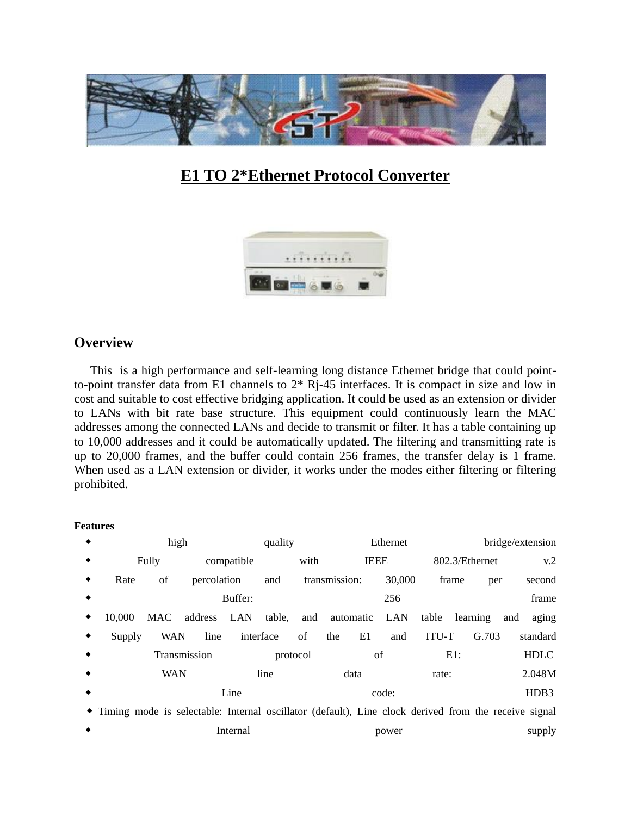

# **E1 TO 2\*Ethernet Protocol Converter**



### **Overview**

 This is a high performance and self-learning long distance Ethernet bridge that could pointto-point transfer data from E1 channels to 2\* Rj-45 interfaces. It is compact in size and low in cost and suitable to cost effective bridging application. It could be used as an extension or divider to LANs with bit rate base structure. This equipment could continuously learn the MAC addresses among the connected LANs and decide to transmit or filter. It has a table containing up to 10,000 addresses and it could be automatically updated. The filtering and transmitting rate is up to 20,000 frames, and the buffer could contain 256 frames, the transfer delay is 1 frame. When used as a LAN extension or divider, it works under the modes either filtering or filtering prohibited.

#### **Features**

| bridge/extension                                                                                     |                   | Ethernet |             |                | quality | high           |              |             |             |        |   |
|------------------------------------------------------------------------------------------------------|-------------------|----------|-------------|----------------|---------|----------------|--------------|-------------|-------------|--------|---|
| v.2                                                                                                  | 802.3/Ethernet    |          | <b>IEEE</b> |                | with    |                | compatible   |             | Fully       |        |   |
| second<br>per                                                                                        | frame             | 30,000   |             | transmission:  |         | and            |              | percolation | of          | Rate   | ٠ |
| frame                                                                                                |                   | 256      |             |                |         |                | Buffer:      |             |             |        |   |
| and<br>aging                                                                                         | table<br>learning | LAN      | automatic   |                |         | LAN table, and |              |             | MAC address | 10.000 | ٠ |
| G.703<br>standard                                                                                    | <b>ITU-T</b>      | and      | E1          | the            | of      | interface      |              | line        | <b>WAN</b>  | Supply | ٠ |
| <b>HDLC</b>                                                                                          | E1:               |          |             | protocol<br>οf |         |                | Transmission |             |             |        |   |
| 2.048M                                                                                               | rate:             |          | data        |                |         | line           | <b>WAN</b>   |             |             |        |   |
| HDB3                                                                                                 | code:             |          |             |                | Line    |                |              |             |             |        |   |
| Timing mode is selectable: Internal oscillator (default), Line clock derived from the receive signal |                   |          |             |                |         |                |              |             |             |        |   |
| supply                                                                                               |                   | power    |             |                |         |                | Internal     |             |             |        |   |